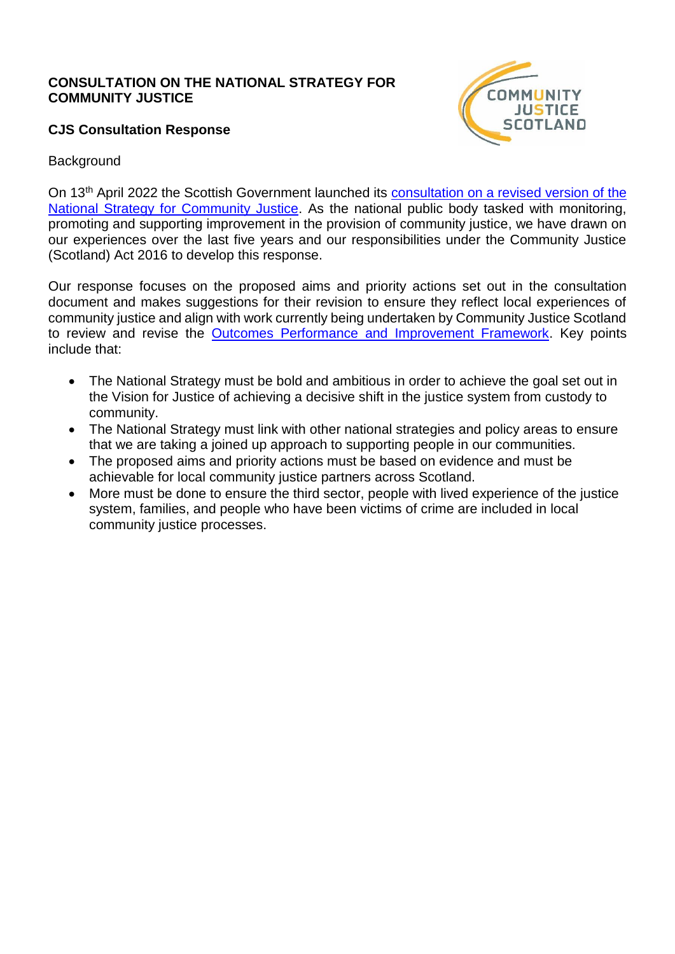### **CONSULTATION ON THE NATIONAL STRATEGY FOR COMMUNITY JUSTICE**

## **CJS Consultation Response**



### **Background**

On 13th April 2022 the Scottish Government launched its [consultation on a revised version of the](https://consult.gov.scot/justice/national-strategy-community-justice/)  [National Strategy for Community Justice.](https://consult.gov.scot/justice/national-strategy-community-justice/) As the national public body tasked with monitoring, promoting and supporting improvement in the provision of community justice, we have drawn on our experiences over the last five years and our responsibilities under the Community Justice (Scotland) Act 2016 to develop this response.

Our response focuses on the proposed aims and priority actions set out in the consultation document and makes suggestions for their revision to ensure they reflect local experiences of community justice and align with work currently being undertaken by Community Justice Scotland to review and revise the [Outcomes Performance and Improvement Framework.](https://www.gov.scot/publications/community-justice-outcomes-performance-improvement-framework/#:~:text=The%20Outcomes%2C%20Performance%20and%20Improvement%20%28OPI%29%20Framework%20provides,what%20works%2C%20leading%20to%20increased%20efficiency%20and%20effectiveness.) Key points include that:

- The National Strategy must be bold and ambitious in order to achieve the goal set out in the Vision for Justice of achieving a decisive shift in the justice system from custody to community.
- The National Strategy must link with other national strategies and policy areas to ensure that we are taking a joined up approach to supporting people in our communities.
- The proposed aims and priority actions must be based on evidence and must be achievable for local community justice partners across Scotland.
- More must be done to ensure the third sector, people with lived experience of the justice system, families, and people who have been victims of crime are included in local community justice processes.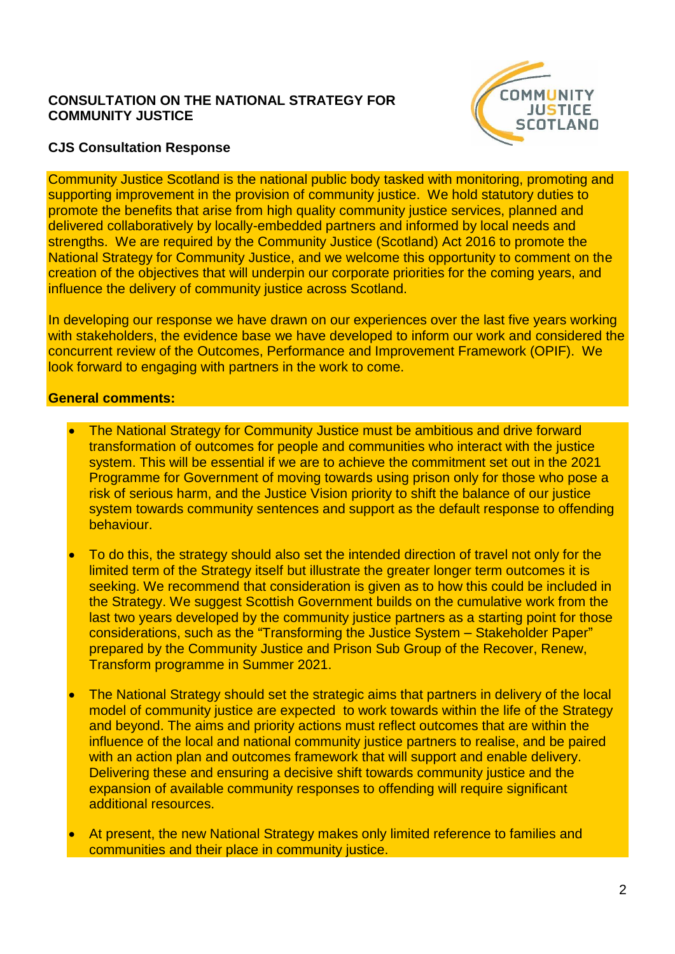### **CONSULTATION ON THE NATIONAL STRATEGY FOR COMMUNITY JUSTICE**



### **CJS Consultation Response**

Community Justice Scotland is the national public body tasked with monitoring, promoting and supporting improvement in the provision of community justice. We hold statutory duties to promote the benefits that arise from high quality community justice services, planned and delivered collaboratively by locally-embedded partners and informed by local needs and strengths. We are required by the Community Justice (Scotland) Act 2016 to promote the National Strategy for Community Justice, and we welcome this opportunity to comment on the creation of the objectives that will underpin our corporate priorities for the coming years, and influence the delivery of community justice across Scotland.

In developing our response we have drawn on our experiences over the last five years working with stakeholders, the evidence base we have developed to inform our work and considered the concurrent review of the Outcomes, Performance and Improvement Framework (OPIF). We look forward to engaging with partners in the work to come.

### **General comments:**

- The National Strategy for Community Justice must be ambitious and drive forward transformation of outcomes for people and communities who interact with the justice system. This will be essential if we are to achieve the commitment set out in the 2021 Programme for Government of moving towards using prison only for those who pose a risk of serious harm, and the Justice Vision priority to shift the balance of our justice system towards community sentences and support as the default response to offending behaviour.
- To do this, the strategy should also set the intended direction of travel not only for the limited term of the Strategy itself but illustrate the greater longer term outcomes it is seeking. We recommend that consideration is given as to how this could be included in the Strategy. We suggest Scottish Government builds on the cumulative work from the last two years developed by the community justice partners as a starting point for those considerations, such as the "Transforming the Justice System – Stakeholder Paper" prepared by the Community Justice and Prison Sub Group of the Recover, Renew, Transform programme in Summer 2021.
- The National Strategy should set the strategic aims that partners in delivery of the local model of community justice are expected to work towards within the life of the Strategy and beyond. The aims and priority actions must reflect outcomes that are within the influence of the local and national community justice partners to realise, and be paired with an action plan and outcomes framework that will support and enable delivery. Delivering these and ensuring a decisive shift towards community justice and the expansion of available community responses to offending will require significant additional resources.
- At present, the new National Strategy makes only limited reference to families and communities and their place in community justice.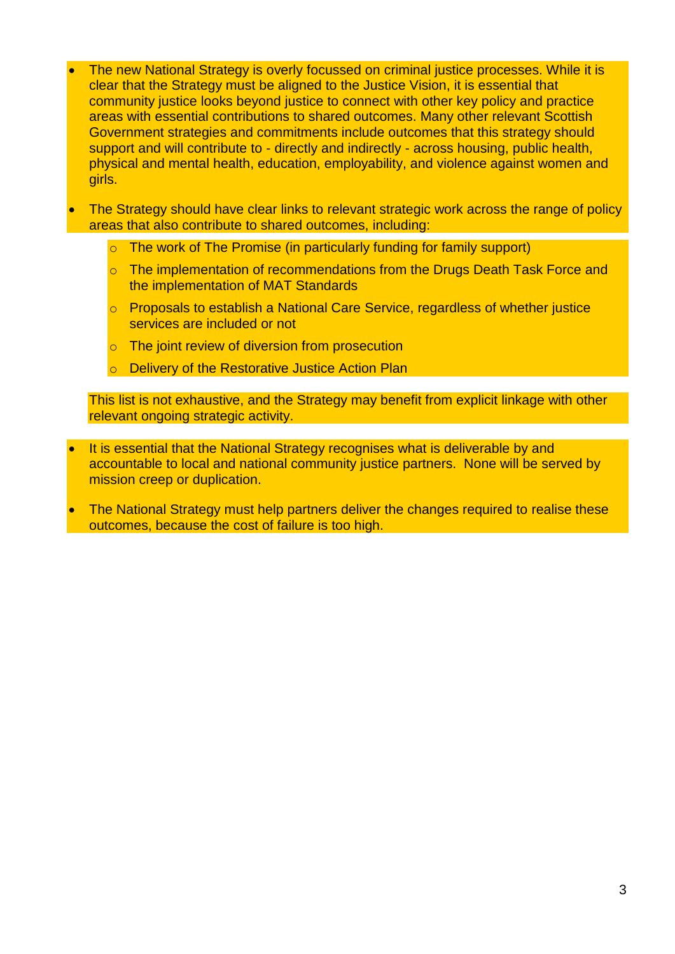- The new National Strategy is overly focussed on criminal justice processes. While it is clear that the Strategy must be aligned to the Justice Vision, it is essential that community justice looks beyond justice to connect with other key policy and practice areas with essential contributions to shared outcomes. Many other relevant Scottish Government strategies and commitments include outcomes that this strategy should support and will contribute to - directly and indirectly - across housing, public health, physical and mental health, education, employability, and violence against women and girls.
- The Strategy should have clear links to relevant strategic work across the range of policy areas that also contribute to shared outcomes, including:
	- o The work of The Promise (in particularly funding for family support)
	- o The implementation of recommendations from the Drugs Death Task Force and the implementation of MAT Standards
	- o Proposals to establish a National Care Service, regardless of whether justice services are included or not
	- o The joint review of diversion from prosecution
	- o Delivery of the Restorative Justice Action Plan

This list is not exhaustive, and the Strategy may benefit from explicit linkage with other relevant ongoing strategic activity.

- It is essential that the National Strategy recognises what is deliverable by and accountable to local and national community justice partners. None will be served by mission creep or duplication.
- The National Strategy must help partners deliver the changes required to realise these outcomes, because the cost of failure is too high.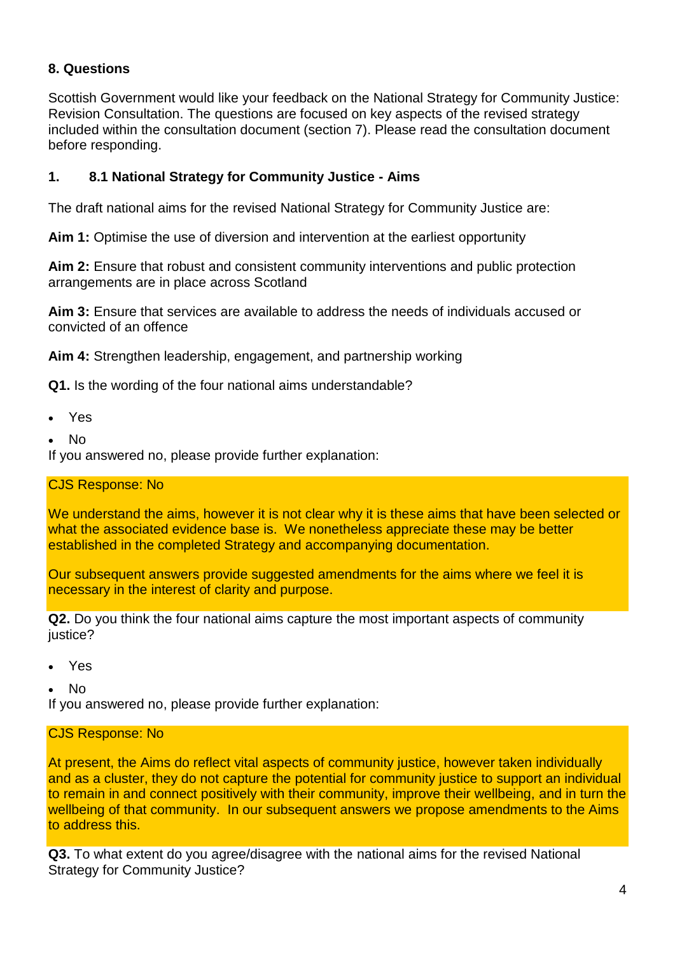# **8. Questions**

Scottish Government would like your feedback on the National Strategy for Community Justice: Revision Consultation. The questions are focused on key aspects of the revised strategy included within the consultation document (section 7). Please read the consultation document before responding.

## **1. 8.1 National Strategy for Community Justice - Aims**

The draft national aims for the revised National Strategy for Community Justice are:

**Aim 1:** Optimise the use of diversion and intervention at the earliest opportunity

**Aim 2:** Ensure that robust and consistent community interventions and public protection arrangements are in place across Scotland

**Aim 3:** Ensure that services are available to address the needs of individuals accused or convicted of an offence

**Aim 4:** Strengthen leadership, engagement, and partnership working

**Q1.** Is the wording of the four national aims understandable?

- Yes
- No

If you answered no, please provide further explanation:

### CJS Response: No

We understand the aims, however it is not clear why it is these aims that have been selected or what the associated evidence base is. We nonetheless appreciate these may be better established in the completed Strategy and accompanying documentation.

Our subsequent answers provide suggested amendments for the aims where we feel it is necessary in the interest of clarity and purpose.

**Q2.** Do you think the four national aims capture the most important aspects of community justice?

Yes

No

If you answered no, please provide further explanation:

### CJS Response: No

At present, the Aims do reflect vital aspects of community justice, however taken individually and as a cluster, they do not capture the potential for community justice to support an individual to remain in and connect positively with their community, improve their wellbeing, and in turn the wellbeing of that community. In our subsequent answers we propose amendments to the Aims to address this.

**Q3.** To what extent do you agree/disagree with the national aims for the revised National Strategy for Community Justice?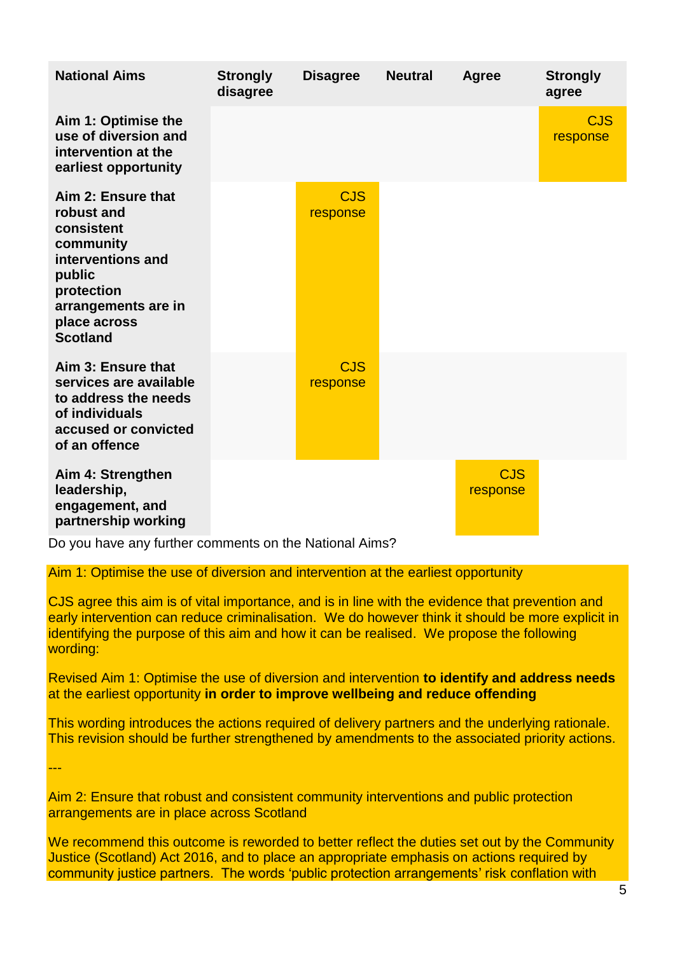| <b>National Aims</b>                                                                                                                                               | <b>Strongly</b><br>disagree | <b>Disagree</b>        | <b>Neutral</b> | <b>Agree</b>           | <b>Strongly</b><br>agree |
|--------------------------------------------------------------------------------------------------------------------------------------------------------------------|-----------------------------|------------------------|----------------|------------------------|--------------------------|
| Aim 1: Optimise the<br>use of diversion and<br>intervention at the<br>earliest opportunity                                                                         |                             |                        |                |                        | <b>CJS</b><br>response   |
| Aim 2: Ensure that<br>robust and<br>consistent<br>community<br>interventions and<br>public<br>protection<br>arrangements are in<br>place across<br><b>Scotland</b> |                             | <b>CJS</b><br>response |                |                        |                          |
| Aim 3: Ensure that<br>services are available<br>to address the needs<br>of individuals<br>accused or convicted<br>of an offence                                    |                             | <b>CJS</b><br>response |                |                        |                          |
| Aim 4: Strengthen<br>leadership,<br>engagement, and<br>partnership working                                                                                         |                             |                        |                | <b>CJS</b><br>response |                          |

Do you have any further comments on the National Aims?

---

Aim 1: Optimise the use of diversion and intervention at the earliest opportunity

CJS agree this aim is of vital importance, and is in line with the evidence that prevention and early intervention can reduce criminalisation. We do however think it should be more explicit in identifying the purpose of this aim and how it can be realised. We propose the following wording:

Revised Aim 1: Optimise the use of diversion and intervention **to identify and address needs**  at the earliest opportunity **in order to improve wellbeing and reduce offending**

This wording introduces the actions required of delivery partners and the underlying rationale. This revision should be further strengthened by amendments to the associated priority actions.

Aim 2: Ensure that robust and consistent community interventions and public protection arrangements are in place across Scotland

We recommend this outcome is reworded to better reflect the duties set out by the Community Justice (Scotland) Act 2016, and to place an appropriate emphasis on actions required by community justice partners. The words 'public protection arrangements' risk conflation with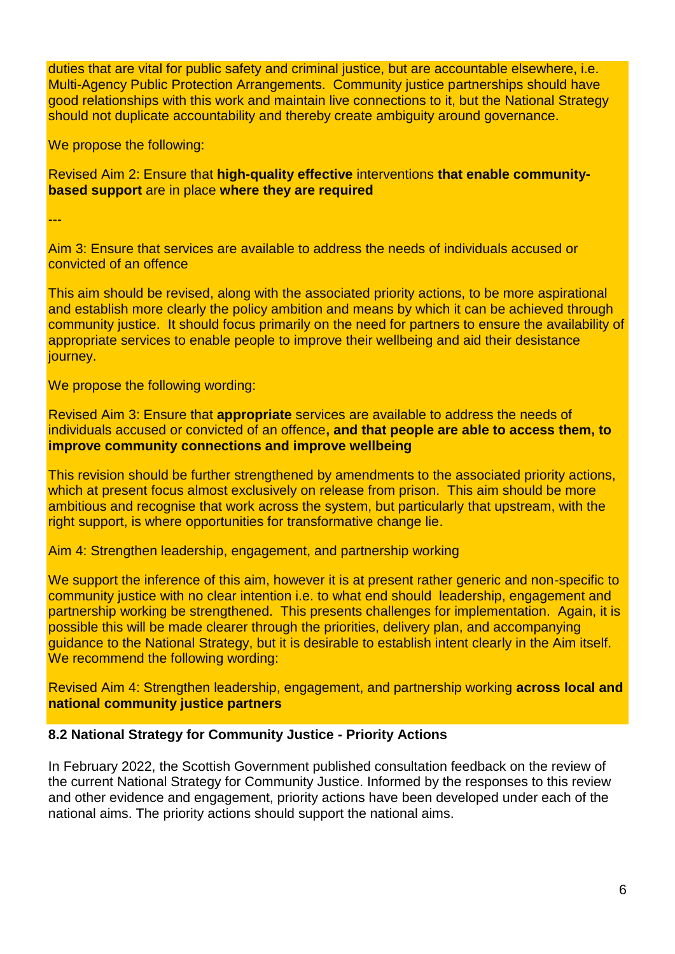duties that are vital for public safety and criminal justice, but are accountable elsewhere, i.e. Multi-Agency Public Protection Arrangements. Community justice partnerships should have good relationships with this work and maintain live connections to it, but the National Strategy should not duplicate accountability and thereby create ambiguity around governance.

We propose the following:

Revised Aim 2: Ensure that **high-quality effective** interventions **that enable communitybased support** are in place **where they are required**

---

Aim 3: Ensure that services are available to address the needs of individuals accused or convicted of an offence

This aim should be revised, along with the associated priority actions, to be more aspirational and establish more clearly the policy ambition and means by which it can be achieved through community justice. It should focus primarily on the need for partners to ensure the availability of appropriate services to enable people to improve their wellbeing and aid their desistance journey.

We propose the following wording:

Revised Aim 3: Ensure that **appropriate** services are available to address the needs of individuals accused or convicted of an offence**, and that people are able to access them, to improve community connections and improve wellbeing**

This revision should be further strengthened by amendments to the associated priority actions, which at present focus almost exclusively on release from prison. This aim should be more ambitious and recognise that work across the system, but particularly that upstream, with the right support, is where opportunities for transformative change lie.

Aim 4: Strengthen leadership, engagement, and partnership working

We support the inference of this aim, however it is at present rather generic and non-specific to community justice with no clear intention i.e. to what end should leadership, engagement and partnership working be strengthened. This presents challenges for implementation. Again, it is possible this will be made clearer through the priorities, delivery plan, and accompanying guidance to the National Strategy, but it is desirable to establish intent clearly in the Aim itself. We recommend the following wording:

Revised Aim 4: Strengthen leadership, engagement, and partnership working **across local and national community justice partners**

### **8.2 National Strategy for Community Justice - Priority Actions**

In February 2022, the Scottish Government published consultation feedback on the review of the current National Strategy for Community Justice. Informed by the responses to this review and other evidence and engagement, priority actions have been developed under each of the national aims. The priority actions should support the national aims.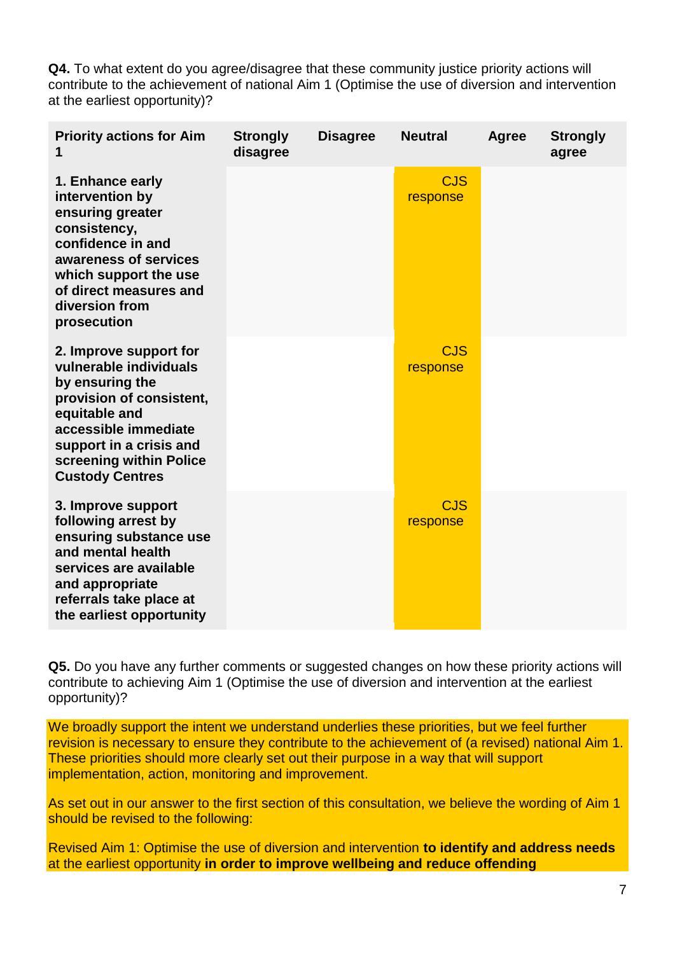**Q4.** To what extent do you agree/disagree that these community justice priority actions will contribute to the achievement of national Aim 1 (Optimise the use of diversion and intervention at the earliest opportunity)?

| <b>Priority actions for Aim</b>                                                                                                                                                                                          | <b>Strongly</b><br>disagree | <b>Disagree</b> | <b>Neutral</b>         | Agree | <b>Strongly</b><br>agree |
|--------------------------------------------------------------------------------------------------------------------------------------------------------------------------------------------------------------------------|-----------------------------|-----------------|------------------------|-------|--------------------------|
| 1. Enhance early<br>intervention by<br>ensuring greater<br>consistency,<br>confidence in and<br>awareness of services<br>which support the use<br>of direct measures and<br>diversion from<br>prosecution                |                             |                 | <b>CJS</b><br>response |       |                          |
| 2. Improve support for<br>vulnerable individuals<br>by ensuring the<br>provision of consistent,<br>equitable and<br>accessible immediate<br>support in a crisis and<br>screening within Police<br><b>Custody Centres</b> |                             |                 | <b>CJS</b><br>response |       |                          |
| 3. Improve support<br>following arrest by<br>ensuring substance use<br>and mental health<br>services are available<br>and appropriate<br>referrals take place at<br>the earliest opportunity                             |                             |                 | <b>CJS</b><br>response |       |                          |

**Q5.** Do you have any further comments or suggested changes on how these priority actions will contribute to achieving Aim 1 (Optimise the use of diversion and intervention at the earliest opportunity)?

We broadly support the intent we understand underlies these priorities, but we feel further revision is necessary to ensure they contribute to the achievement of (a revised) national Aim 1. These priorities should more clearly set out their purpose in a way that will support implementation, action, monitoring and improvement.

As set out in our answer to the first section of this consultation, we believe the wording of Aim 1 should be revised to the following:

Revised Aim 1: Optimise the use of diversion and intervention **to identify and address needs**  at the earliest opportunity **in order to improve wellbeing and reduce offending**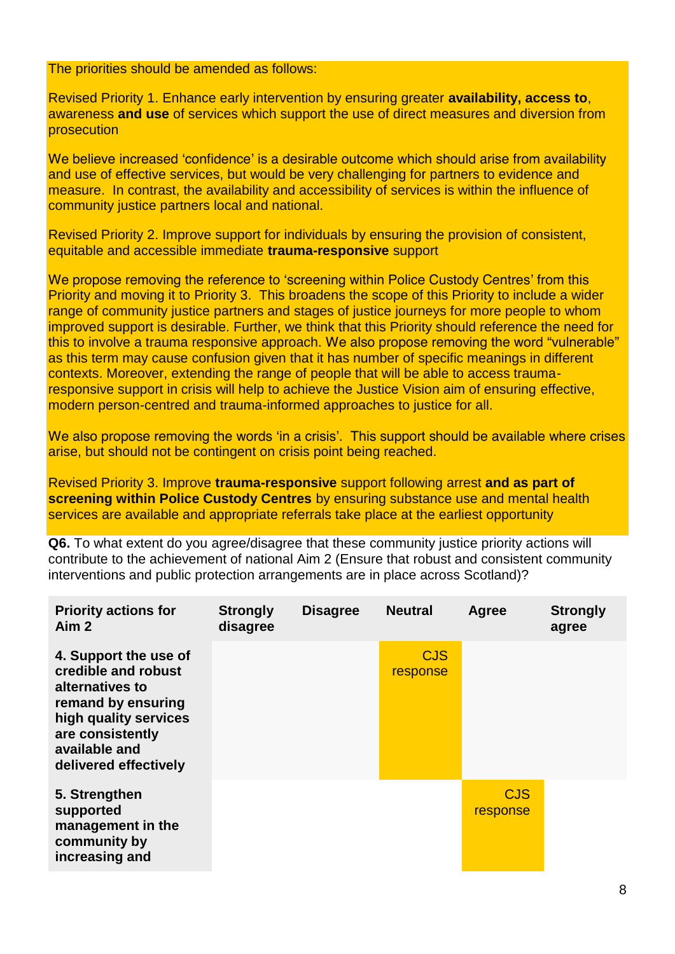The priorities should be amended as follows:

Revised Priority 1. Enhance early intervention by ensuring greater **availability, access to**, awareness **and use** of services which support the use of direct measures and diversion from prosecution

We believe increased 'confidence' is a desirable outcome which should arise from availability and use of effective services, but would be very challenging for partners to evidence and measure. In contrast, the availability and accessibility of services is within the influence of community justice partners local and national.

Revised Priority 2. Improve support for individuals by ensuring the provision of consistent, equitable and accessible immediate **trauma-responsive** support

We propose removing the reference to 'screening within Police Custody Centres' from this Priority and moving it to Priority 3. This broadens the scope of this Priority to include a wider range of community justice partners and stages of justice journeys for more people to whom improved support is desirable. Further, we think that this Priority should reference the need for this to involve a trauma responsive approach. We also propose removing the word "vulnerable" as this term may cause confusion given that it has number of specific meanings in different contexts. Moreover, extending the range of people that will be able to access traumaresponsive support in crisis will help to achieve the Justice Vision aim of ensuring effective, modern person-centred and trauma-informed approaches to justice for all.

We also propose removing the words 'in a crisis'. This support should be available where crises arise, but should not be contingent on crisis point being reached.

Revised Priority 3. Improve **trauma-responsive** support following arrest **and as part of screening within Police Custody Centres** by ensuring substance use and mental health services are available and appropriate referrals take place at the earliest opportunity

**Q6.** To what extent do you agree/disagree that these community justice priority actions will contribute to the achievement of national Aim 2 (Ensure that robust and consistent community interventions and public protection arrangements are in place across Scotland)?

| <b>Priority actions for</b><br>Aim <sub>2</sub>                                                                                                                              | <b>Strongly</b><br>disagree | <b>Disagree</b> | <b>Neutral</b>         | Agree                  | <b>Strongly</b><br>agree |
|------------------------------------------------------------------------------------------------------------------------------------------------------------------------------|-----------------------------|-----------------|------------------------|------------------------|--------------------------|
| 4. Support the use of<br>credible and robust<br>alternatives to<br>remand by ensuring<br>high quality services<br>are consistently<br>available and<br>delivered effectively |                             |                 | <b>CJS</b><br>response |                        |                          |
| 5. Strengthen<br>supported<br>management in the<br>community by<br>increasing and                                                                                            |                             |                 |                        | <b>CJS</b><br>response |                          |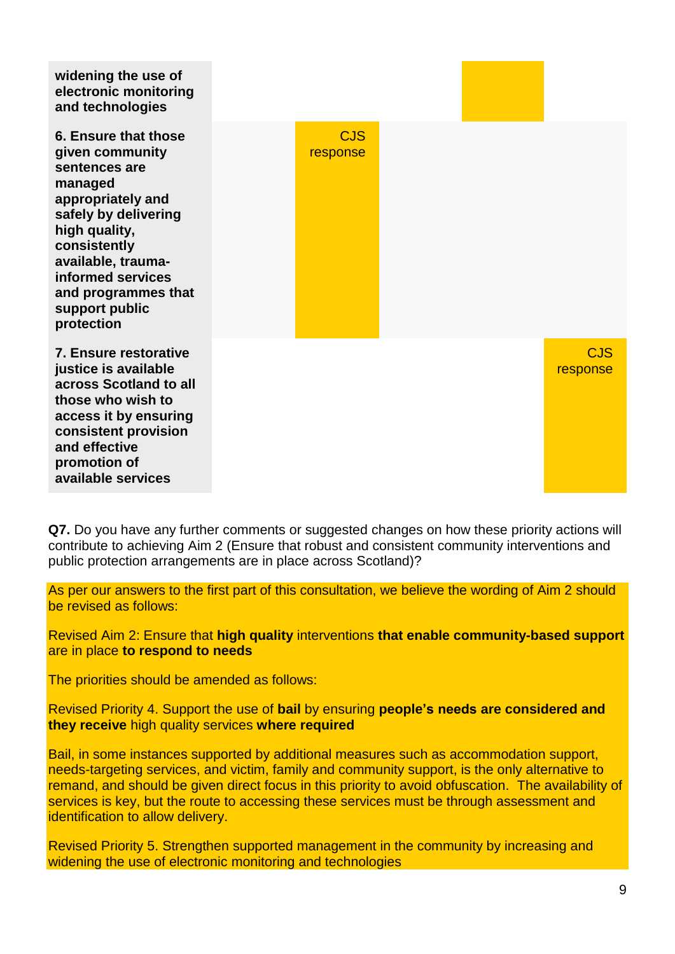| widening the use of<br>electronic monitoring<br>and technologies                                                                                                                                                                                    |                        |  |                        |
|-----------------------------------------------------------------------------------------------------------------------------------------------------------------------------------------------------------------------------------------------------|------------------------|--|------------------------|
| 6. Ensure that those<br>given community<br>sentences are<br>managed<br>appropriately and<br>safely by delivering<br>high quality,<br>consistently<br>available, trauma-<br>informed services<br>and programmes that<br>support public<br>protection | <b>CJS</b><br>response |  |                        |
| 7. Ensure restorative<br>justice is available<br>across Scotland to all<br>those who wish to<br>access it by ensuring<br>consistent provision<br>and effective<br>promotion of<br>available services                                                |                        |  | <b>CJS</b><br>response |

**Q7.** Do you have any further comments or suggested changes on how these priority actions will contribute to achieving Aim 2 (Ensure that robust and consistent community interventions and public protection arrangements are in place across Scotland)?

As per our answers to the first part of this consultation, we believe the wording of Aim 2 should be revised as follows:

Revised Aim 2: Ensure that **high quality** interventions **that enable community-based support**  are in place **to respond to needs**

The priorities should be amended as follows:

Revised Priority 4. Support the use of **bail** by ensuring **people's needs are considered and they receive** high quality services **where required**

Bail, in some instances supported by additional measures such as accommodation support, needs-targeting services, and victim, family and community support, is the only alternative to remand, and should be given direct focus in this priority to avoid obfuscation. The availability of services is key, but the route to accessing these services must be through assessment and identification to allow delivery.

Revised Priority 5. Strengthen supported management in the community by increasing and widening the use of electronic monitoring and technologies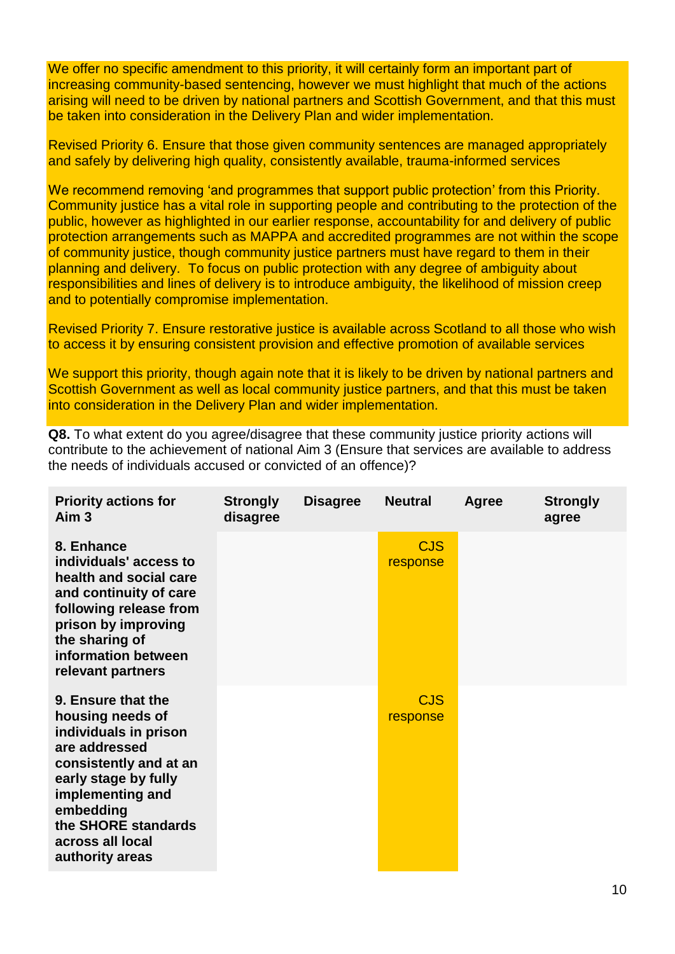We offer no specific amendment to this priority, it will certainly form an important part of increasing community-based sentencing, however we must highlight that much of the actions arising will need to be driven by national partners and Scottish Government, and that this must be taken into consideration in the Delivery Plan and wider implementation.

Revised Priority 6. Ensure that those given community sentences are managed appropriately and safely by delivering high quality, consistently available, trauma-informed services

We recommend removing 'and programmes that support public protection' from this Priority. Community justice has a vital role in supporting people and contributing to the protection of the public, however as highlighted in our earlier response, accountability for and delivery of public protection arrangements such as MAPPA and accredited programmes are not within the scope of community justice, though community justice partners must have regard to them in their planning and delivery. To focus on public protection with any degree of ambiguity about responsibilities and lines of delivery is to introduce ambiguity, the likelihood of mission creep and to potentially compromise implementation.

Revised Priority 7. Ensure restorative justice is available across Scotland to all those who wish to access it by ensuring consistent provision and effective promotion of available services

We support this priority, though again note that it is likely to be driven by national partners and Scottish Government as well as local community justice partners, and that this must be taken into consideration in the Delivery Plan and wider implementation.

**Q8.** To what extent do you agree/disagree that these community justice priority actions will contribute to the achievement of national Aim 3 (Ensure that services are available to address the needs of individuals accused or convicted of an offence)?

| <b>Priority actions for</b><br>Aim <sub>3</sub>                                                                                                                                                                                   | <b>Strongly</b><br>disagree | <b>Disagree</b> | <b>Neutral</b>         | Agree | <b>Strongly</b><br>agree |
|-----------------------------------------------------------------------------------------------------------------------------------------------------------------------------------------------------------------------------------|-----------------------------|-----------------|------------------------|-------|--------------------------|
| 8. Enhance<br>individuals' access to<br>health and social care<br>and continuity of care<br>following release from<br>prison by improving<br>the sharing of<br>information between<br>relevant partners                           |                             |                 | <b>CJS</b><br>response |       |                          |
| 9. Ensure that the<br>housing needs of<br>individuals in prison<br>are addressed<br>consistently and at an<br>early stage by fully<br>implementing and<br>embedding<br>the SHORE standards<br>across all local<br>authority areas |                             |                 | <b>CJS</b><br>response |       |                          |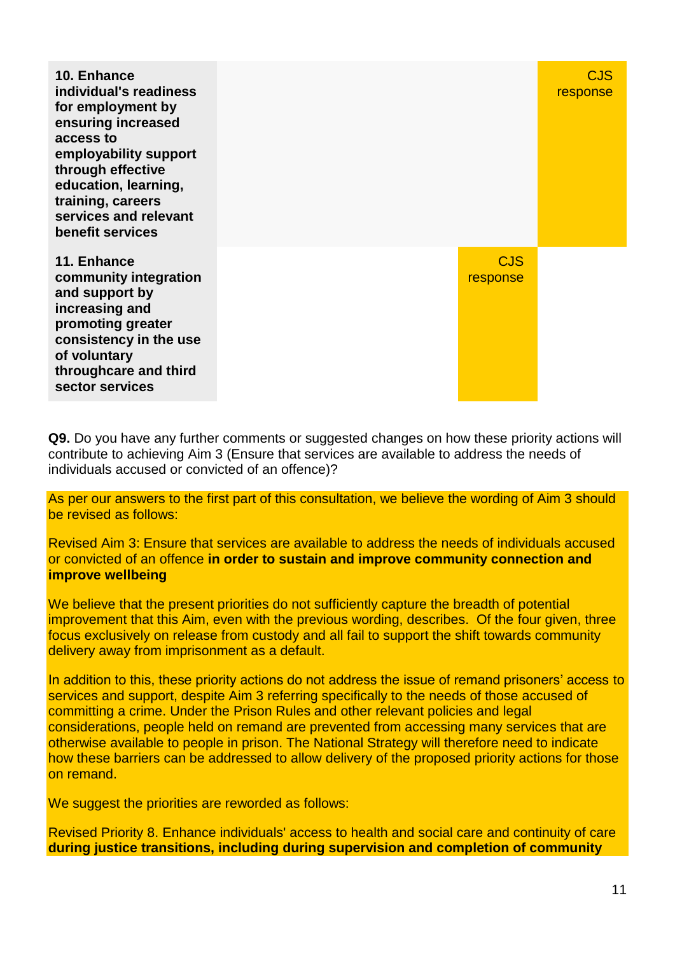| 10. Enhance<br>individual's readiness<br>for employment by<br>ensuring increased<br>access to<br>employability support<br>through effective<br>education, learning,<br>training, careers<br>services and relevant<br>benefit services |                        | CJS<br>response |
|---------------------------------------------------------------------------------------------------------------------------------------------------------------------------------------------------------------------------------------|------------------------|-----------------|
| 11. Enhance<br>community integration<br>and support by<br>increasing and<br>promoting greater<br>consistency in the use<br>of voluntary<br>throughcare and third<br>sector services                                                   | <b>CJS</b><br>response |                 |

**Q9.** Do you have any further comments or suggested changes on how these priority actions will contribute to achieving Aim 3 (Ensure that services are available to address the needs of individuals accused or convicted of an offence)?

As per our answers to the first part of this consultation, we believe the wording of Aim 3 should be revised as follows:

Revised Aim 3: Ensure that services are available to address the needs of individuals accused or convicted of an offence **in order to sustain and improve community connection and improve wellbeing**

We believe that the present priorities do not sufficiently capture the breadth of potential improvement that this Aim, even with the previous wording, describes. Of the four given, three focus exclusively on release from custody and all fail to support the shift towards community delivery away from imprisonment as a default.

In addition to this, these priority actions do not address the issue of remand prisoners' access to services and support, despite Aim 3 referring specifically to the needs of those accused of committing a crime. Under the Prison Rules and other relevant policies and legal considerations, people held on remand are prevented from accessing many services that are otherwise available to people in prison. The National Strategy will therefore need to indicate how these barriers can be addressed to allow delivery of the proposed priority actions for those on remand.

We suggest the priorities are reworded as follows:

Revised Priority 8. Enhance individuals' access to health and social care and continuity of care **during justice transitions, including during supervision and completion of community**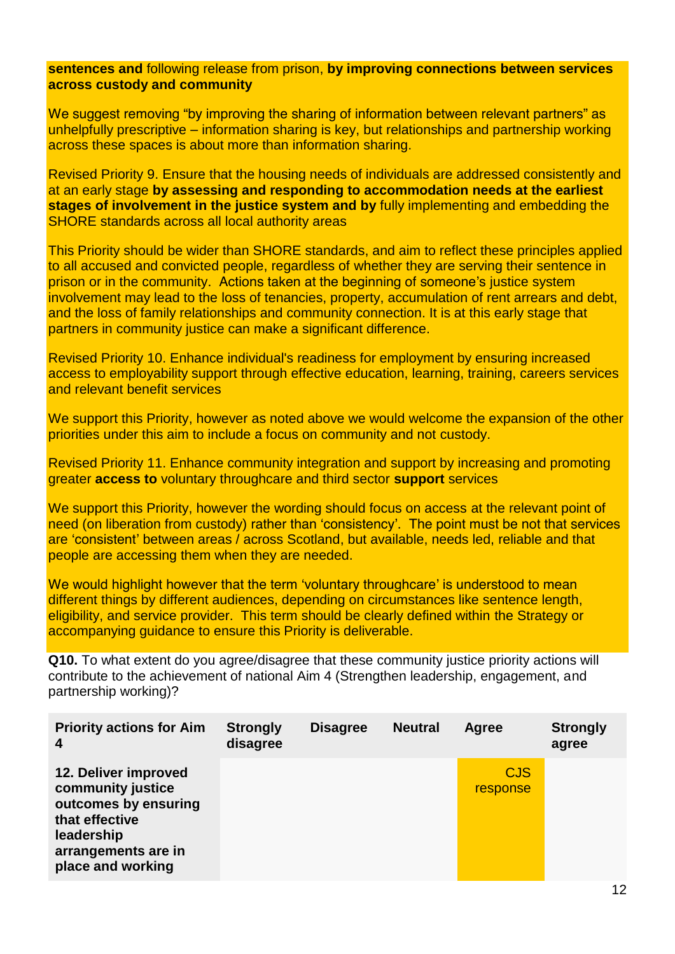### **sentences and** following release from prison, **by improving connections between services across custody and community**

We suggest removing "by improving the sharing of information between relevant partners" as unhelpfully prescriptive – information sharing is key, but relationships and partnership working across these spaces is about more than information sharing.

Revised Priority 9. Ensure that the housing needs of individuals are addressed consistently and at an early stage **by assessing and responding to accommodation needs at the earliest stages of involvement in the justice system and by fully implementing and embedding the** SHORE standards across all local authority areas

This Priority should be wider than SHORE standards, and aim to reflect these principles applied to all accused and convicted people, regardless of whether they are serving their sentence in prison or in the community. Actions taken at the beginning of someone's justice system involvement may lead to the loss of tenancies, property, accumulation of rent arrears and debt, and the loss of family relationships and community connection. It is at this early stage that partners in community justice can make a significant difference.

Revised Priority 10. Enhance individual's readiness for employment by ensuring increased access to employability support through effective education, learning, training, careers services and relevant benefit services

We support this Priority, however as noted above we would welcome the expansion of the other priorities under this aim to include a focus on community and not custody.

Revised Priority 11. Enhance community integration and support by increasing and promoting greater **access to** voluntary throughcare and third sector **support** services

We support this Priority, however the wording should focus on access at the relevant point of need (on liberation from custody) rather than 'consistency'. The point must be not that services are 'consistent' between areas / across Scotland, but available, needs led, reliable and that people are accessing them when they are needed.

We would highlight however that the term 'voluntary throughcare' is understood to mean different things by different audiences, depending on circumstances like sentence length, eligibility, and service provider. This term should be clearly defined within the Strategy or accompanying guidance to ensure this Priority is deliverable.

**Q10.** To what extent do you agree/disagree that these community justice priority actions will contribute to the achievement of national Aim 4 (Strengthen leadership, engagement, and partnership working)?

| <b>Priority actions for Aim</b><br>$\boldsymbol{4}$                                                                                           | <b>Strongly</b><br>disagree | <b>Disagree</b> | <b>Neutral</b> | Agree                  | <b>Strongly</b><br>agree |
|-----------------------------------------------------------------------------------------------------------------------------------------------|-----------------------------|-----------------|----------------|------------------------|--------------------------|
| 12. Deliver improved<br>community justice<br>outcomes by ensuring<br>that effective<br>leadership<br>arrangements are in<br>place and working |                             |                 |                | <b>CJS</b><br>response |                          |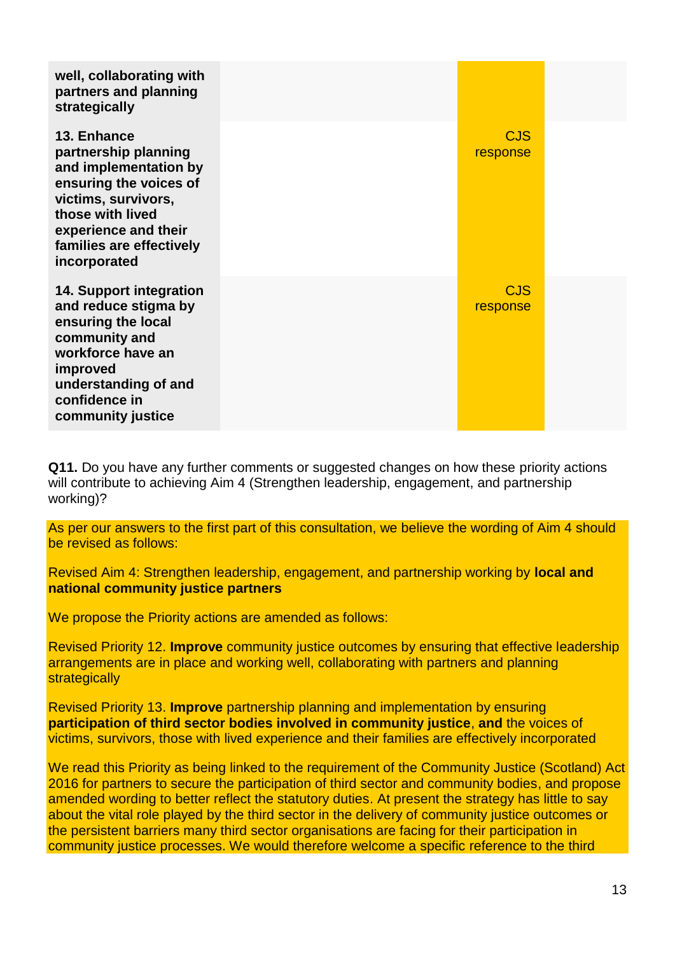| well, collaborating with<br>partners and planning<br>strategically                                                                                                                                    |                        |  |
|-------------------------------------------------------------------------------------------------------------------------------------------------------------------------------------------------------|------------------------|--|
| 13. Enhance<br>partnership planning<br>and implementation by<br>ensuring the voices of<br>victims, survivors,<br>those with lived<br>experience and their<br>families are effectively<br>incorporated | <b>CJS</b><br>response |  |
| <b>14. Support integration</b><br>and reduce stigma by<br>ensuring the local<br>community and<br>workforce have an<br>improved<br>understanding of and<br>confidence in<br>community justice          | <b>CJS</b><br>response |  |

**Q11.** Do you have any further comments or suggested changes on how these priority actions will contribute to achieving Aim 4 (Strengthen leadership, engagement, and partnership working)?

As per our answers to the first part of this consultation, we believe the wording of Aim 4 should be revised as follows:

Revised Aim 4: Strengthen leadership, engagement, and partnership working by **local and national community justice partners**

We propose the Priority actions are amended as follows:

Revised Priority 12. **Improve** community justice outcomes by ensuring that effective leadership arrangements are in place and working well, collaborating with partners and planning **strategically** 

Revised Priority 13. **Improve** partnership planning and implementation by ensuring **participation of third sector bodies involved in community justice**, **and** the voices of victims, survivors, those with lived experience and their families are effectively incorporated

We read this Priority as being linked to the requirement of the Community Justice (Scotland) Act 2016 for partners to secure the participation of third sector and community bodies, and propose amended wording to better reflect the statutory duties. At present the strategy has little to say about the vital role played by the third sector in the delivery of community justice outcomes or the persistent barriers many third sector organisations are facing for their participation in community justice processes. We would therefore welcome a specific reference to the third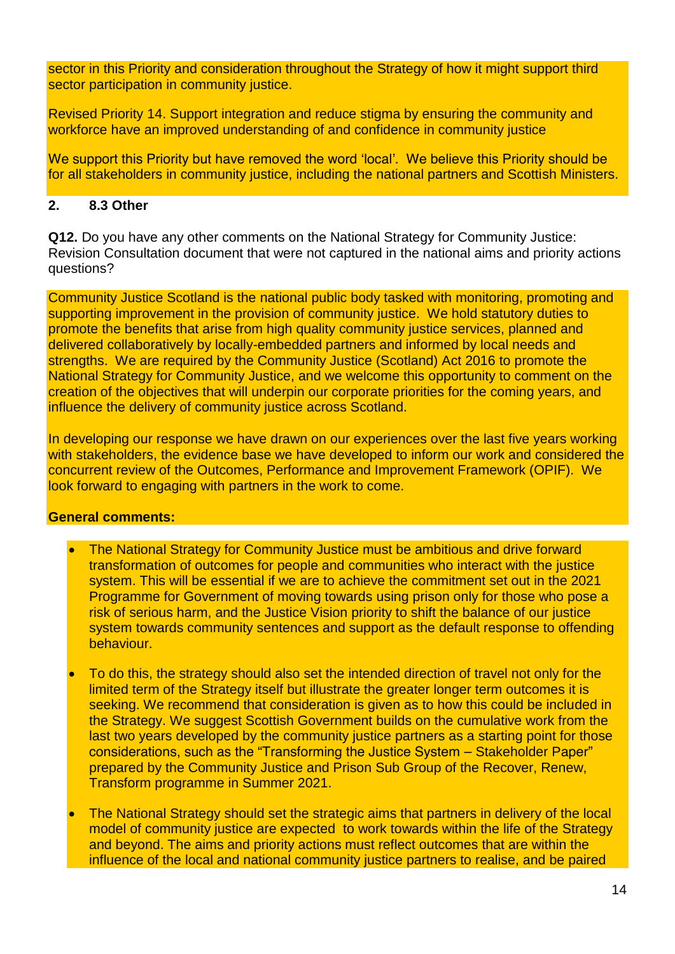sector in this Priority and consideration throughout the Strategy of how it might support third sector participation in community justice.

Revised Priority 14. Support integration and reduce stigma by ensuring the community and workforce have an improved understanding of and confidence in community justice

We support this Priority but have removed the word 'local'. We believe this Priority should be for all stakeholders in community justice, including the national partners and Scottish Ministers.

## **2. 8.3 Other**

**Q12.** Do you have any other comments on the National Strategy for Community Justice: Revision Consultation document that were not captured in the national aims and priority actions questions?

Community Justice Scotland is the national public body tasked with monitoring, promoting and supporting improvement in the provision of community justice. We hold statutory duties to promote the benefits that arise from high quality community justice services, planned and delivered collaboratively by locally-embedded partners and informed by local needs and strengths. We are required by the Community Justice (Scotland) Act 2016 to promote the National Strategy for Community Justice, and we welcome this opportunity to comment on the creation of the objectives that will underpin our corporate priorities for the coming years, and influence the delivery of community justice across Scotland.

In developing our response we have drawn on our experiences over the last five years working with stakeholders, the evidence base we have developed to inform our work and considered the concurrent review of the Outcomes, Performance and Improvement Framework (OPIF). We look forward to engaging with partners in the work to come.

### **General comments:**

- The National Strategy for Community Justice must be ambitious and drive forward transformation of outcomes for people and communities who interact with the justice system. This will be essential if we are to achieve the commitment set out in the 2021 Programme for Government of moving towards using prison only for those who pose a risk of serious harm, and the Justice Vision priority to shift the balance of our justice system towards community sentences and support as the default response to offending behaviour.
- To do this, the strategy should also set the intended direction of travel not only for the limited term of the Strategy itself but illustrate the greater longer term outcomes it is seeking. We recommend that consideration is given as to how this could be included in the Strategy. We suggest Scottish Government builds on the cumulative work from the last two years developed by the community justice partners as a starting point for those considerations, such as the "Transforming the Justice System – Stakeholder Paper" prepared by the Community Justice and Prison Sub Group of the Recover, Renew, Transform programme in Summer 2021.
- The National Strategy should set the strategic aims that partners in delivery of the local model of community justice are expected to work towards within the life of the Strategy and beyond. The aims and priority actions must reflect outcomes that are within the influence of the local and national community justice partners to realise, and be paired